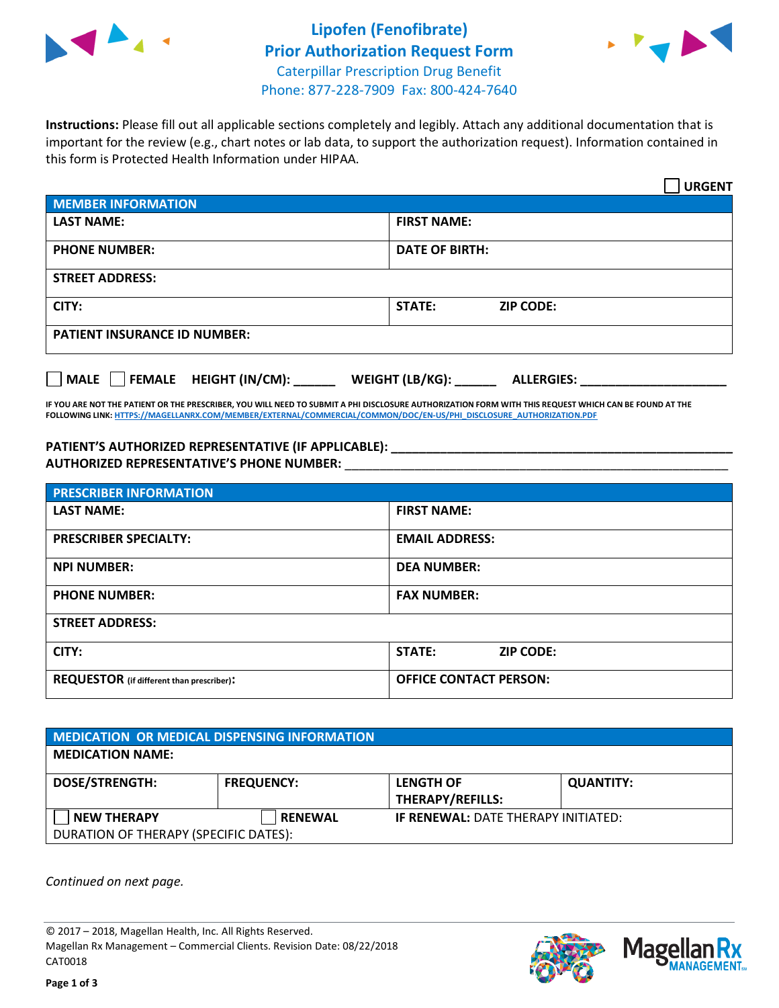



**Instructions:** Please fill out all applicable sections completely and legibly. Attach any additional documentation that is important for the review (e.g., chart notes or lab data, to support the authorization request). Information contained in this form is Protected Health Information under HIPAA.

|                                       | <b>URGENT</b>                        |  |  |  |
|---------------------------------------|--------------------------------------|--|--|--|
| <b>MEMBER INFORMATION</b>             |                                      |  |  |  |
| <b>LAST NAME:</b>                     | <b>FIRST NAME:</b>                   |  |  |  |
| <b>PHONE NUMBER:</b>                  | <b>DATE OF BIRTH:</b>                |  |  |  |
| <b>STREET ADDRESS:</b>                |                                      |  |  |  |
| CITY:                                 | <b>ZIP CODE:</b><br>STATE:           |  |  |  |
| <b>PATIENT INSURANCE ID NUMBER:</b>   |                                      |  |  |  |
| FEMALE HEIGHT (IN/CM):<br><b>MALE</b> | WEIGHT (LB/KG):<br><b>ALLERGIES:</b> |  |  |  |

**IF YOU ARE NOT THE PATIENT OR THE PRESCRIBER, YOU WILL NEED TO SUBMIT A PHI DISCLOSURE AUTHORIZATION FORM WITH THIS REQUEST WHICH CAN BE FOUND AT THE FOLLOWING LINK[: HTTPS://MAGELLANRX.COM/MEMBER/EXTERNAL/COMMERCIAL/COMMON/DOC/EN-US/PHI\\_DISCLOSURE\\_AUTHORIZATION.PDF](https://magellanrx.com/member/external/commercial/common/doc/en-us/PHI_Disclosure_Authorization.pdf)**

**PATIENT'S AUTHORIZED REPRESENTATIVE (IF APPLICABLE): \_\_\_\_\_\_\_\_\_\_\_\_\_\_\_\_\_\_\_\_\_\_\_\_\_\_\_\_\_\_\_\_\_\_\_\_\_\_\_\_\_\_\_\_\_\_\_\_\_ AUTHORIZED REPRESENTATIVE'S PHONE NUMBER:** \_\_\_\_\_\_\_\_\_\_\_\_\_\_\_\_\_\_\_\_\_\_\_\_\_\_\_\_\_\_\_\_\_\_\_\_\_\_\_\_\_\_\_\_\_\_\_\_\_\_\_\_\_\_\_

| <b>PRESCRIBER INFORMATION</b>             |                                   |  |  |  |
|-------------------------------------------|-----------------------------------|--|--|--|
| <b>LAST NAME:</b>                         | <b>FIRST NAME:</b>                |  |  |  |
| <b>PRESCRIBER SPECIALTY:</b>              | <b>EMAIL ADDRESS:</b>             |  |  |  |
| <b>NPI NUMBER:</b>                        | <b>DEA NUMBER:</b>                |  |  |  |
| <b>PHONE NUMBER:</b>                      | <b>FAX NUMBER:</b>                |  |  |  |
| <b>STREET ADDRESS:</b>                    |                                   |  |  |  |
| CITY:                                     | <b>STATE:</b><br><b>ZIP CODE:</b> |  |  |  |
| REQUESTOR (if different than prescriber): | <b>OFFICE CONTACT PERSON:</b>     |  |  |  |

| <b>MEDICATION OR MEDICAL DISPENSING INFORMATION</b>         |                   |                                             |                  |  |  |
|-------------------------------------------------------------|-------------------|---------------------------------------------|------------------|--|--|
| <b>MEDICATION NAME:</b>                                     |                   |                                             |                  |  |  |
| <b>DOSE/STRENGTH:</b>                                       | <b>FREQUENCY:</b> | <b>LENGTH OF</b><br><b>THERAPY/REFILLS:</b> | <b>QUANTITY:</b> |  |  |
| <b>NEW THERAPY</b><br>DURATION OF THERAPY (SPECIFIC DATES): | <b>RENEWAL</b>    | <b>IF RENEWAL: DATE THERAPY INITIATED:</b>  |                  |  |  |

*Continued on next page.*

© 2017 – 2018, Magellan Health, Inc. All Rights Reserved. Magellan Rx Management – Commercial Clients. Revision Date: 08/22/2018 CAT0018



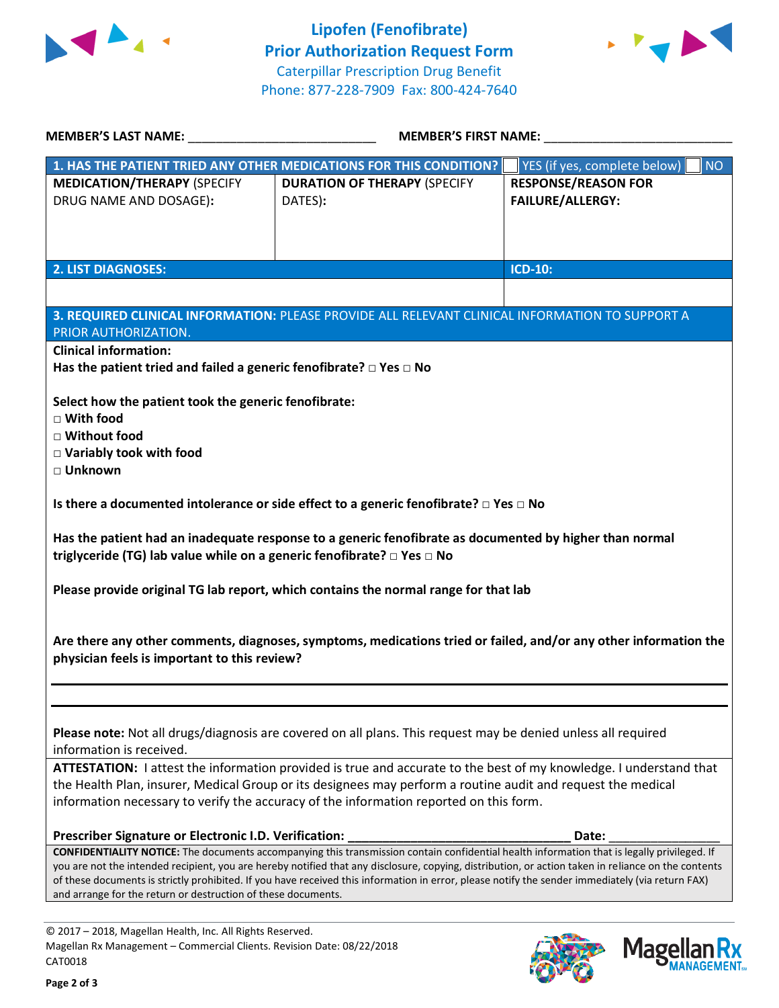



Mage

**lan Rx<br>NAGEMENT...** 

|                                                                                                                                                                                                                                                                                                    |                                                                                                         | <b>MEMBER'S FIRST NAME:</b>               |  |  |
|----------------------------------------------------------------------------------------------------------------------------------------------------------------------------------------------------------------------------------------------------------------------------------------------------|---------------------------------------------------------------------------------------------------------|-------------------------------------------|--|--|
| 1. HAS THE PATIENT TRIED ANY OTHER MEDICATIONS FOR THIS CONDITION?                                                                                                                                                                                                                                 |                                                                                                         | YES (if yes, complete below)<br><b>NO</b> |  |  |
| <b>MEDICATION/THERAPY (SPECIFY</b>                                                                                                                                                                                                                                                                 | <b>DURATION OF THERAPY (SPECIFY</b>                                                                     | <b>RESPONSE/REASON FOR</b>                |  |  |
| DRUG NAME AND DOSAGE):                                                                                                                                                                                                                                                                             | DATES):                                                                                                 | <b>FAILURE/ALLERGY:</b>                   |  |  |
|                                                                                                                                                                                                                                                                                                    |                                                                                                         |                                           |  |  |
|                                                                                                                                                                                                                                                                                                    |                                                                                                         |                                           |  |  |
|                                                                                                                                                                                                                                                                                                    |                                                                                                         |                                           |  |  |
| <b>2. LIST DIAGNOSES:</b>                                                                                                                                                                                                                                                                          |                                                                                                         | <b>ICD-10:</b>                            |  |  |
|                                                                                                                                                                                                                                                                                                    |                                                                                                         |                                           |  |  |
|                                                                                                                                                                                                                                                                                                    |                                                                                                         |                                           |  |  |
|                                                                                                                                                                                                                                                                                                    | 3. REQUIRED CLINICAL INFORMATION: PLEASE PROVIDE ALL RELEVANT CLINICAL INFORMATION TO SUPPORT A         |                                           |  |  |
| PRIOR AUTHORIZATION.                                                                                                                                                                                                                                                                               |                                                                                                         |                                           |  |  |
| <b>Clinical information:</b>                                                                                                                                                                                                                                                                       |                                                                                                         |                                           |  |  |
| Has the patient tried and failed a generic fenofibrate? $\Box$ Yes $\Box$ No                                                                                                                                                                                                                       |                                                                                                         |                                           |  |  |
| Select how the patient took the generic fenofibrate:                                                                                                                                                                                                                                               |                                                                                                         |                                           |  |  |
| $\Box$ With food                                                                                                                                                                                                                                                                                   |                                                                                                         |                                           |  |  |
| □ Without food                                                                                                                                                                                                                                                                                     |                                                                                                         |                                           |  |  |
| □ Variably took with food                                                                                                                                                                                                                                                                          |                                                                                                         |                                           |  |  |
| □ Unknown                                                                                                                                                                                                                                                                                          |                                                                                                         |                                           |  |  |
|                                                                                                                                                                                                                                                                                                    |                                                                                                         |                                           |  |  |
|                                                                                                                                                                                                                                                                                                    | Is there a documented intolerance or side effect to a generic fenofibrate? $\Box$ Yes $\Box$ No         |                                           |  |  |
|                                                                                                                                                                                                                                                                                                    |                                                                                                         |                                           |  |  |
|                                                                                                                                                                                                                                                                                                    | Has the patient had an inadequate response to a generic fenofibrate as documented by higher than normal |                                           |  |  |
| triglyceride (TG) lab value while on a generic fenofibrate? □ Yes □ No                                                                                                                                                                                                                             |                                                                                                         |                                           |  |  |
|                                                                                                                                                                                                                                                                                                    |                                                                                                         |                                           |  |  |
|                                                                                                                                                                                                                                                                                                    | Please provide original TG lab report, which contains the normal range for that lab                     |                                           |  |  |
|                                                                                                                                                                                                                                                                                                    |                                                                                                         |                                           |  |  |
|                                                                                                                                                                                                                                                                                                    |                                                                                                         |                                           |  |  |
| Are there any other comments, diagnoses, symptoms, medications tried or failed, and/or any other information the<br>physician feels is important to this review?                                                                                                                                   |                                                                                                         |                                           |  |  |
|                                                                                                                                                                                                                                                                                                    |                                                                                                         |                                           |  |  |
|                                                                                                                                                                                                                                                                                                    |                                                                                                         |                                           |  |  |
|                                                                                                                                                                                                                                                                                                    |                                                                                                         |                                           |  |  |
|                                                                                                                                                                                                                                                                                                    |                                                                                                         |                                           |  |  |
| Please note: Not all drugs/diagnosis are covered on all plans. This request may be denied unless all required                                                                                                                                                                                      |                                                                                                         |                                           |  |  |
| information is received.                                                                                                                                                                                                                                                                           |                                                                                                         |                                           |  |  |
| ATTESTATION: I attest the information provided is true and accurate to the best of my knowledge. I understand that                                                                                                                                                                                 |                                                                                                         |                                           |  |  |
| the Health Plan, insurer, Medical Group or its designees may perform a routine audit and request the medical                                                                                                                                                                                       |                                                                                                         |                                           |  |  |
| information necessary to verify the accuracy of the information reported on this form.                                                                                                                                                                                                             |                                                                                                         |                                           |  |  |
|                                                                                                                                                                                                                                                                                                    |                                                                                                         |                                           |  |  |
| Prescriber Signature or Electronic I.D. Verification:                                                                                                                                                                                                                                              |                                                                                                         | Date:                                     |  |  |
| CONFIDENTIALITY NOTICE: The documents accompanying this transmission contain confidential health information that is legally privileged. If<br>you are not the intended recipient, you are hereby notified that any disclosure, copying, distribution, or action taken in reliance on the contents |                                                                                                         |                                           |  |  |
| of these documents is strictly prohibited. If you have received this information in error, please notify the sender immediately (via return FAX)                                                                                                                                                   |                                                                                                         |                                           |  |  |
| and arrange for the return or destruction of these documents.                                                                                                                                                                                                                                      |                                                                                                         |                                           |  |  |
|                                                                                                                                                                                                                                                                                                    |                                                                                                         |                                           |  |  |
| © 2017 - 2018, Magellan Health, Inc. All Rights Reserved.                                                                                                                                                                                                                                          |                                                                                                         |                                           |  |  |

CAT0018

Magellan Rx Management – Commercial Clients. Revision Date: 08/22/2018